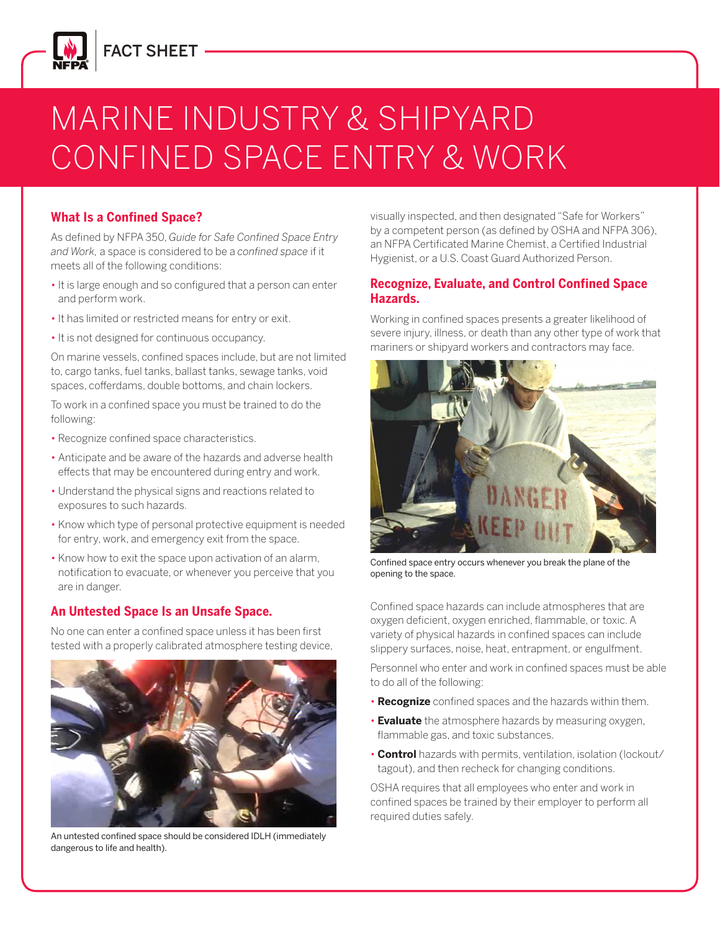

## FACT SHEET

# MARINE INDUSTRY & SHIPYARD CONFINED SPACE ENTRY & WORK

#### **What Is a Confined Space?**

As defined by NFPA 350, *Guide for Safe Confined Space Entry and Work,* a space is considered to be a *confined space* if it meets all of the following conditions:

- It is large enough and so configured that a person can enter and perform work.
- It has limited or restricted means for entry or exit.
- It is not designed for continuous occupancy.

On marine vessels, confined spaces include, but are not limited to, cargo tanks, fuel tanks, ballast tanks, sewage tanks, void spaces, cofferdams, double bottoms, and chain lockers.

To work in a confined space you must be trained to do the following:

- Recognize confined space characteristics.
- Anticipate and be aware of the hazards and adverse health effects that may be encountered during entry and work.
- Understand the physical signs and reactions related to exposures to such hazards.
- Know which type of personal protective equipment is needed for entry, work, and emergency exit from the space.
- Know how to exit the space upon activation of an alarm, notification to evacuate, or whenever you perceive that you are in danger.

#### **An Untested Space Is an Unsafe Space.**

No one can enter a confined space unless it has been first tested with a properly calibrated atmosphere testing device,



An untested confined space should be considered IDLH (immediately dangerous to life and health).

visually inspected, and then designated "Safe for Workers" by a competent person (as defined by OSHA and NFPA 306), an NFPA Certificated Marine Chemist, a Certified Industrial Hygienist, or a U.S. Coast Guard Authorized Person.

#### **Recognize, Evaluate, and Control Confined Space Hazards.**

Working in confined spaces presents a greater likelihood of severe injury, illness, or death than any other type of work that mariners or shipyard workers and contractors may face.



Confined space entry occurs whenever you break the plane of the opening to the space.

Confined space hazards can include atmospheres that are oxygen deficient, oxygen enriched, flammable, or toxic. A variety of physical hazards in confined spaces can include slippery surfaces, noise, heat, entrapment, or engulfment.

Personnel who enter and work in confined spaces must be able to do all of the following:

- **Recognize** confined spaces and the hazards within them.
- **Evaluate** the atmosphere hazards by measuring oxygen, flammable gas, and toxic substances.
- **Control** hazards with permits, ventilation, isolation (lockout/ tagout), and then recheck for changing conditions.

OSHA requires that all employees who enter and work in confined spaces be trained by their employer to perform all required duties safely.